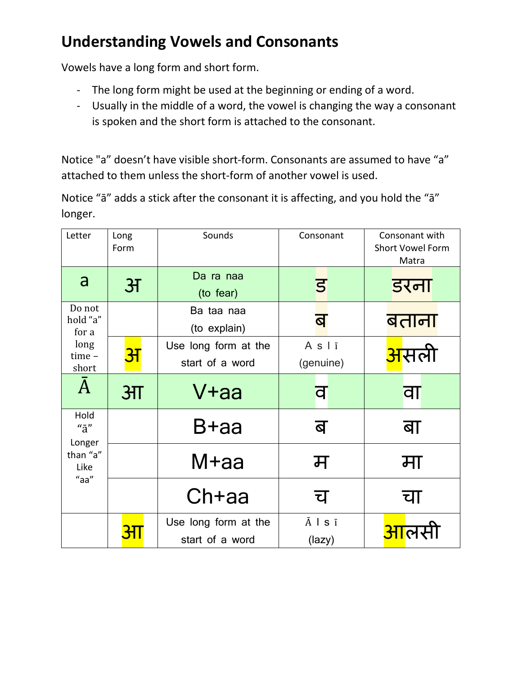## **Understanding Vowels and Consonants**

Vowels have a long form and short form.

- The long form might be used at the beginning or ending of a word.
- Usually in the middle of a word, the vowel is changing the way a consonant is spoken and the short form is attached to the consonant.

Notice "a" doesn't have visible short-form. Consonants are assumed to have "a" attached to them unless the short-form of another vowel is used.

Notice "ā" adds a stick after the consonant it is affecting, and you hold the "ā" longer.

| Letter                                                | Long<br>Form   | Sounds                                  | Consonant                         | Consonant with<br><b>Short Vowel Form</b><br>Matra |
|-------------------------------------------------------|----------------|-----------------------------------------|-----------------------------------|----------------------------------------------------|
| a                                                     | $\overline{3}$ | Da ra naa<br>(to fear)                  | <u>ड</u>                          | डरना                                               |
| Do not<br>hold "a"<br>for a<br>long<br>time-<br>short |                | Ba taa naa<br>(to explain)              | ब                                 | बताना                                              |
|                                                       | <u>अ</u>       | Use long form at the<br>start of a word | A s   i<br>(genuine)              | <mark>अ</mark> सली                                 |
| $\bar{A}$                                             | 3 <sub>π</sub> | V+aa                                    | व                                 | <b>at</b>                                          |
| Hold<br>"a"<br>Longer<br>than "a"<br>Like<br>"aa"     |                | B+aa                                    | ब                                 | बा                                                 |
|                                                       |                | M+aa                                    | म                                 | मा                                                 |
|                                                       |                | $Ch+aa$                                 | च                                 | चा                                                 |
|                                                       |                | Use long form at the<br>start of a word | $\bar{A}$   s $\bar{1}$<br>(lazy) | <mark>आ</mark> लसी                                 |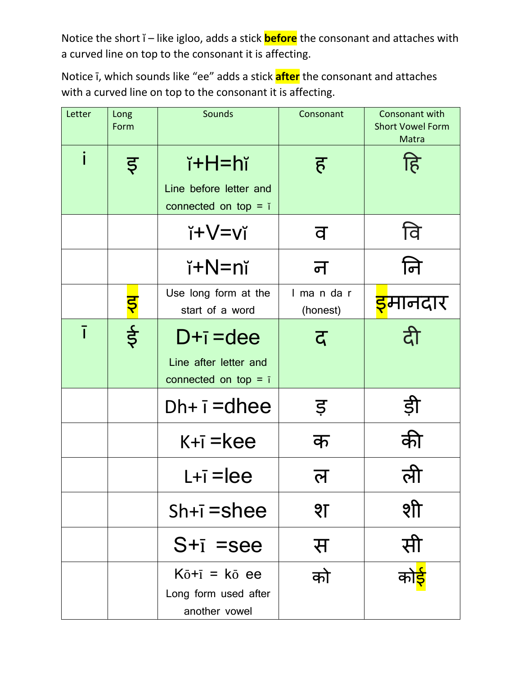Notice the short ĭ – like igloo, adds a stick **before** the consonant and attaches with a curved line on top to the consonant it is affecting.

Notice ī, which sounds like "ee" adds a stick **after** the consonant and attaches with a curved line on top to the consonant it is affecting.

| Letter | Long<br>Form   | Sounds                                                                          | Consonant            | Consonant with<br><b>Short Vowel Form</b><br>Matra |
|--------|----------------|---------------------------------------------------------------------------------|----------------------|----------------------------------------------------|
| i      | इ              | ĭ+H=hĭ<br>Line before letter and<br>connected on top = $i$                      | ह $\overline{5}$     | हि                                                 |
|        |                | $i+V=vi$                                                                        | व                    | वि                                                 |
|        |                | $i+N=ni$                                                                        | न                    | नि                                                 |
|        | <mark>इ</mark> | Use long form at the<br>start of a word                                         | I mandar<br>(honest) | <mark>इ</mark> मानदार                              |
| ī      | ई              | $D+i =$ dee<br>Line after letter and<br>connected on top = $\overline{1}$       | $\overline{a}$       | दी                                                 |
|        |                | $Dh+I=dhee$                                                                     | ड़                   | ड़ॊ                                                |
|        |                | $K+i = kee$                                                                     | क                    | की                                                 |
|        |                | $L+i =  ee$                                                                     | ल                    | ली                                                 |
|        |                | $Sh+i = shee$                                                                   | $\sqrt{2}$           | शी                                                 |
|        |                | $S+i$ =see                                                                      | स                    | सी                                                 |
|        |                | $K\bar{o}$ + $\bar{i}$ = $k\bar{o}$ ee<br>Long form used after<br>another vowel | को                   |                                                    |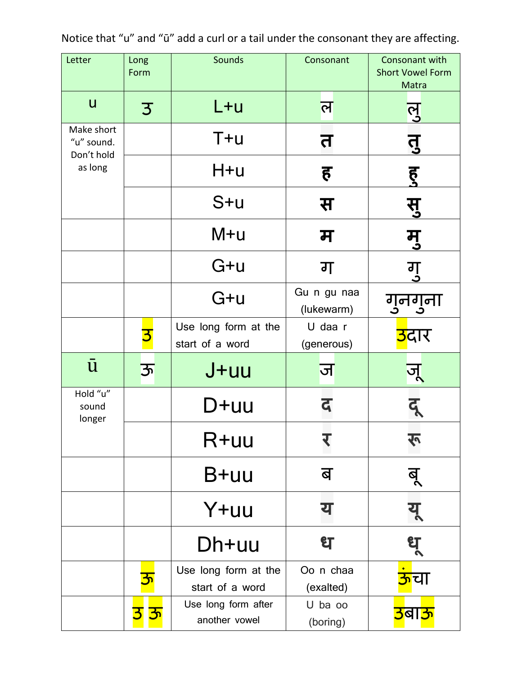Letter | Long Form Sounds Consonant Consonant with Short Vowel Form Matra <sup>u</sup> | उ | L+u | ल | ल् ु Make short "u" sound. Don't hold as long T+u **त तु** H+u **ह ह ु** S+u **स सु** M+u **म म ु**  $G+u$  | ग | गु ु  $G+u$  Gu n gu naa  $(lukewarm)$   $\int$ ु नग ना ु  $\overline{\mathbf{3}}$  Use long form at the start of a word U daa r o udd i and <mark>उ</mark>दार <sup>ū</sup> | ऊ | J+uu | ज | जू ू Hold "u" sound longer D+uu **द दू** R+uu **र** B+uu ब बू ू Y+uu **य य ू** Dh+uu **ध ध ू**  $\overline{\overline{35}}$  Use long form at the start of a word Oo n chaa <sup>oo ii ciidd</sup> | <mark>ऊं</mark>चा  $\overline{3}$   $\overline{3}$  Use long form after another vowel U ba oo o<sup>ba oo</sup> | <mark>उबाऊ</mark>

Notice that "u" and "ū" add a curl or a tail under the consonant they are affecting.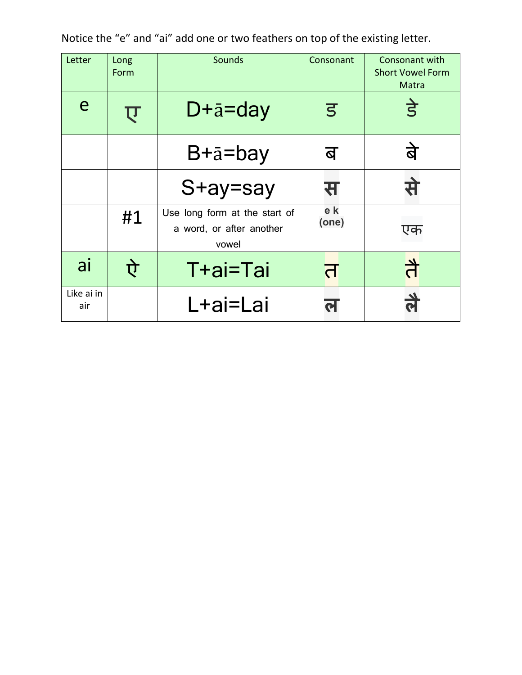Notice the "e" and "ai" add one or two feathers on top of the existing letter.

| Letter            | Long<br>Form | <b>Sounds</b>                                                      | Consonant    | Consonant with<br><b>Short Vowel Form</b><br>Matra |
|-------------------|--------------|--------------------------------------------------------------------|--------------|----------------------------------------------------|
| e                 | ए            | D+a=day                                                            | <u>ड</u>     | <u>ई</u>                                           |
|                   |              | $B + \bar{a} =$ bay                                                | ब            | बे                                                 |
|                   |              | S+ay=say                                                           | स            | से                                                 |
|                   | #1           | Use long form at the start of<br>a word, or after another<br>vowel | e k<br>(one) | एक                                                 |
| ai                |              | T+ai=Tai                                                           | त            | तै                                                 |
| Like ai in<br>air |              | L+ai=Lai                                                           | ल            | $\frac{\Delta}{\mathbf{c}}$                        |